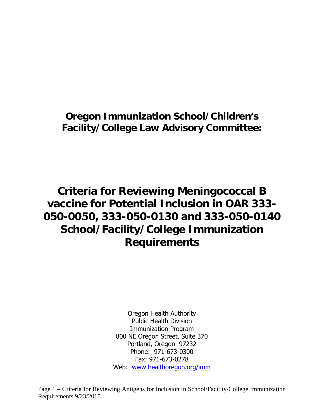## **Oregon Immunization School/Children's Facility/College Law Advisory Committee:**

# **Criteria for Reviewing Meningococcal B vaccine for Potential Inclusion in OAR 333- 050-0050, 333-050-0130 and 333-050-0140 School/Facility/College Immunization Requirements**

Oregon Health Authority Public Health Division Immunization Program 800 NE Oregon Street, Suite 370 Portland, Oregon 97232 Phone: 971-673-0300 Fax: 971-673-0278 Web: www.healthoregon.org/imm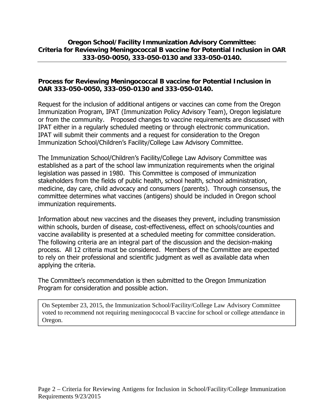### **Oregon School/Facility Immunization Advisory Committee: Criteria for Reviewing Meningococcal B vaccine for Potential Inclusion in OAR 333-050-0050, 333-050-0130 and 333-050-0140.**

### **Process for Reviewing Meningococcal B vaccine for Potential Inclusion in OAR 333-050-0050, 333-050-0130 and 333-050-0140.**

Request for the inclusion of additional antigens or vaccines can come from the Oregon Immunization Program, IPAT (Immunization Policy Advisory Team), Oregon legislature or from the community. Proposed changes to vaccine requirements are discussed with IPAT either in a regularly scheduled meeting or through electronic communication. IPAT will submit their comments and a request for consideration to the Oregon Immunization School/Children's Facility/College Law Advisory Committee.

The Immunization School/Children's Facility/College Law Advisory Committee was established as a part of the school law immunization requirements when the original legislation was passed in 1980. This Committee is composed of immunization stakeholders from the fields of public health, school health, school administration, medicine, day care, child advocacy and consumers (parents). Through consensus, the committee determines what vaccines (antigens) should be included in Oregon school immunization requirements.

Information about new vaccines and the diseases they prevent, including transmission within schools, burden of disease, cost-effectiveness, effect on schools/counties and vaccine availability is presented at a scheduled meeting for committee consideration. The following criteria are an integral part of the discussion and the decision-making process. All 12 criteria must be considered. Members of the Committee are expected to rely on their professional and scientific judgment as well as available data when applying the criteria.

The Committee's recommendation is then submitted to the Oregon Immunization Program for consideration and possible action.

On September 23, 2015, the Immunization School/Facility/College Law Advisory Committee voted to recommend not requiring meningococcal B vaccine for school or college attendance in Oregon.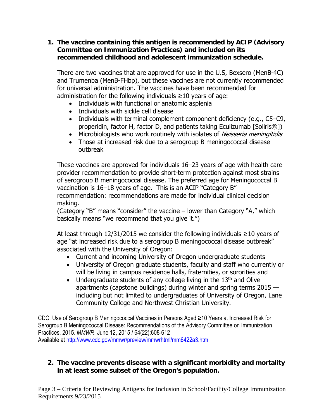**1. The vaccine containing this antigen is recommended by ACIP (Advisory Committee on Immunization Practices) and included on its recommended childhood and adolescent immunization schedule.**

There are two vaccines that are approved for use in the U.S, Bexsero (MenB-4C) and Trumenba (MenB-FHbp), but these vaccines are not currently recommended for universal administration. The vaccines have been recommended for administration for the following individuals  $\geq 10$  years of age:

- Individuals with functional or anatomic asplenia
- Individuals with sickle cell disease
- Individuals with terminal complement component deficiency (e.g., C5–C9, properidin, factor H, factor D, and patients taking Eculizumab [Soliris®])
- Microbiologists who work routinely with isolates of Neisseria meningitidis
- Those at increased risk due to a serogroup B meningococcal disease outbreak

These vaccines are approved for individuals 16–23 years of age with health care provider recommendation to provide short-term protection against most strains of serogroup B meningococcal disease. The preferred age for Meningococcal B vaccination is 16–18 years of age. This is an ACIP "Category B" recommendation: recommendations are made for individual clinical decision making.

(Category "B" means "consider" the vaccine – lower than Category "A," which basically means "we recommend that you give it.")

At least through 12/31/2015 we consider the following individuals ≥10 years of age "at increased risk due to a serogroup B meningococcal disease outbreak" associated with the University of Oregon:

- Current and incoming University of Oregon undergraduate students
- University of Oregon graduate students, faculty and staff who currently or will be living in campus residence halls, fraternities, or sororities and
- Undergraduate students of any college living in the  $13<sup>th</sup>$  and Olive apartments (capstone buildings) during winter and spring terms 2015 including but not limited to undergraduates of University of Oregon, Lane Community College and Northwest Christian University.

CDC. Use of Serogroup B Meningococcal Vaccines in Persons Aged ≥10 Years at Increased Risk for Serogroup B Meningococcal Disease: Recommendations of the Advisory Committee on Immunization Practices, 2015. *MMWR*. June 12, 2015 / 64(22);608-612 Available at http://www.cdc.gov/mmwr/preview/mmwrhtml/mm6422a3.htm

### **2. The vaccine prevents disease with a significant morbidity and mortality in at least some subset of the Oregon's population.**

Page 3 – Criteria for Reviewing Antigens for Inclusion in School/Facility/College Immunization Requirements 9/23/2015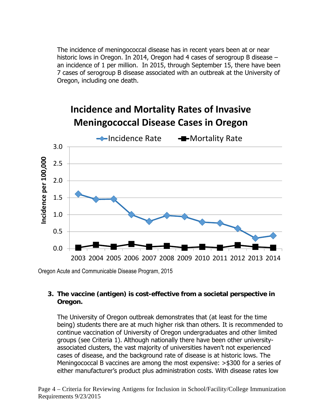The incidence of meningococcal disease has in recent years been at or near historic lows in Oregon. In 2014, Oregon had 4 cases of serogroup B disease – an incidence of 1 per million. In 2015, through September 15, there have been 7 cases of serogroup B disease associated with an outbreak at the University of Oregon, including one death.

# **Incidence and Mortality Rates of Invasive Meningococcal Disease Cases in Oregon**



Oregon Acute and Communicable Disease Program, 2015

### **3. The vaccine (antigen) is cost-effective from a societal perspective in Oregon.**

The University of Oregon outbreak demonstrates that (at least for the time being) students there are at much higher risk than others. It is recommended to continue vaccination of University of Oregon undergraduates and other limited groups (see Criteria 1). Although nationally there have been other universityassociated clusters, the vast majority of universities haven't not experienced cases of disease, and the background rate of disease is at historic lows. The Meningococcal B vaccines are among the most expensive: >\$300 for a series of either manufacturer's product plus administration costs. With disease rates low

Page 4 – Criteria for Reviewing Antigens for Inclusion in School/Facility/College Immunization Requirements 9/23/2015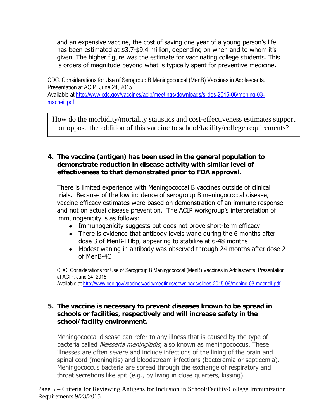and an expensive vaccine, the cost of saving one year of a young person's life has been estimated at \$3.7-\$9.4 million, depending on when and to whom it's given. The higher figure was the estimate for vaccinating college students. This is orders of magnitude beyond what is typically spent for preventive medicine.

CDC. Considerations for Use of Serogroup B Meningococcal (MenB) Vaccines in Adolescents. Presentation at ACIP, June 24, 2015 Available at http://www.cdc.gov/vaccines/acip/meetings/downloads/slides-2015-06/mening-03 macneil.pdf

How do the morbidity/mortality statistics and cost-effectiveness estimates support or oppose the addition of this vaccine to school/facility/college requirements?

### **4. The vaccine (antigen) has been used in the general population to demonstrate reduction in disease activity with similar level of effectiveness to that demonstrated prior to FDA approval.**

There is limited experience with Meningococcal B vaccines outside of clinical trials. Because of the low incidence of serogroup B meningococcal disease, vaccine efficacy estimates were based on demonstration of an immune response and not on actual disease prevention. The ACIP workgroup's interpretation of immunogenicity is as follows:

- Immunogenicity suggests but does not prove short-term efficacy
- There is evidence that antibody levels wane during the 6 months after dose 3 of MenB-FHbp, appearing to stabilize at 6-48 months
- Modest waning in antibody was observed through 24 months after dose 2 of MenB-4C

CDC. Considerations for Use of Serogroup B Meningococcal (MenB) Vaccines in Adolescents. Presentation at ACIP, June 24, 2015 Available at http://www.cdc.gov/vaccines/acip/meetings/downloads/slides-2015-06/mening-03-macneil.pdf

### **5. The vaccine is necessary to prevent diseases known to be spread in schools or facilities, respectively and will increase safety in the school/facility environment.**

Meningococcal disease can refer to any illness that is caused by the type of bacteria called Neisseria meningitidis, also known as meningococcus. These illnesses are often severe and include infections of the lining of the brain and spinal cord (meningitis) and bloodstream infections (bacteremia or septicemia). Meningococcus bacteria are spread through the exchange of respiratory and throat secretions like spit (e.g., by living in close quarters, kissing).

Page 5 – Criteria for Reviewing Antigens for Inclusion in School/Facility/College Immunization Requirements 9/23/2015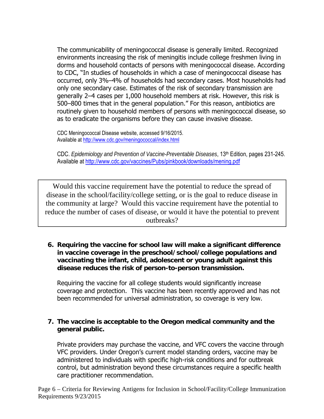The communicability of meningococcal disease is generally limited. Recognized environments increasing the risk of meningitis include college freshmen living in dorms and household contacts of persons with meningococcal disease. According to CDC, "In studies of households in which a case of meningococcal disease has occurred, only 3%–4% of households had secondary cases. Most households had only one secondary case. Estimates of the risk of secondary transmission are generally 2–4 cases per 1,000 household members at risk. However, this risk is 500–800 times that in the general population." For this reason, antibiotics are routinely given to household members of persons with meningococcal disease, so as to eradicate the organisms before they can cause invasive disease.

CDC Meningococcal Disease website, accessed 9/16/2015. Available at http://www.cdc.gov/meningococcal/index.html

CDC. *Epidemiology and Prevention of Vaccine-Preventable Diseases*, 13th Edition, pages 231-245. Available at http://www.cdc.gov/vaccines/Pubs/pinkbook/downloads/mening.pdf

Would this vaccine requirement have the potential to reduce the spread of disease in the school/facility/college setting, or is the goal to reduce disease in the community at large? Would this vaccine requirement have the potential to reduce the number of cases of disease, or would it have the potential to prevent outbreaks?

**6. Requiring the vaccine for school law will make a significant difference in vaccine coverage in the preschool/school/college populations and vaccinating the infant, child, adolescent or young adult against this disease reduces the risk of person-to-person transmission.** 

Requiring the vaccine for all college students would significantly increase coverage and protection. This vaccine has been recently approved and has not been recommended for universal administration, so coverage is very low.

### **7. The vaccine is acceptable to the Oregon medical community and the general public.**

Private providers may purchase the vaccine, and VFC covers the vaccine through VFC providers. Under Oregon's current model standing orders, vaccine may be administered to individuals with specific high-risk conditions and for outbreak control, but administration beyond these circumstances require a specific health care practitioner recommendation.

Page 6 – Criteria for Reviewing Antigens for Inclusion in School/Facility/College Immunization Requirements 9/23/2015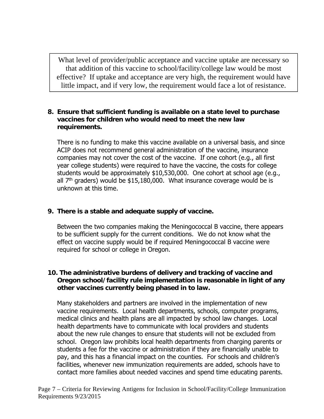What level of provider/public acceptance and vaccine uptake are necessary so that addition of this vaccine to school/facility/college law would be most effective? If uptake and acceptance are very high, the requirement would have little impact, and if very low, the requirement would face a lot of resistance.

### **8. Ensure that sufficient funding is available on a state level to purchase vaccines for children who would need to meet the new law requirements.**

There is no funding to make this vaccine available on a universal basis, and since ACIP does not recommend general administration of the vaccine, insurance companies may not cover the cost of the vaccine. If one cohort (e.g., all first year college students) were required to have the vaccine, the costs for college students would be approximately \$10,530,000. One cohort at school age (e.g., all  $7<sup>th</sup>$  graders) would be \$15,180,000. What insurance coverage would be is unknown at this time.

### **9. There is a stable and adequate supply of vaccine.**

Between the two companies making the Meningococcal B vaccine, there appears to be sufficient supply for the current conditions. We do not know what the effect on vaccine supply would be if required Meningococcal B vaccine were required for school or college in Oregon.

### **10. The administrative burdens of delivery and tracking of vaccine and Oregon school/facility rule implementation is reasonable in light of any other vaccines currently being phased in to law.**

Many stakeholders and partners are involved in the implementation of new vaccine requirements. Local health departments, schools, computer programs, medical clinics and health plans are all impacted by school law changes. Local health departments have to communicate with local providers and students about the new rule changes to ensure that students will not be excluded from school. Oregon law prohibits local health departments from charging parents or students a fee for the vaccine or administration if they are financially unable to pay, and this has a financial impact on the counties. For schools and children's facilities, whenever new immunization requirements are added, schools have to contact more families about needed vaccines and spend time educating parents.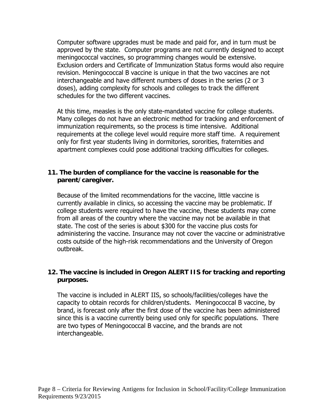Computer software upgrades must be made and paid for, and in turn must be approved by the state. Computer programs are not currently designed to accept meningococcal vaccines, so programming changes would be extensive. Exclusion orders and Certificate of Immunization Status forms would also require revision. Meningococcal B vaccine is unique in that the two vaccines are not interchangeable and have different numbers of doses in the series (2 or 3 doses), adding complexity for schools and colleges to track the different schedules for the two different vaccines.

At this time, measles is the only state-mandated vaccine for college students. Many colleges do not have an electronic method for tracking and enforcement of immunization requirements, so the process is time intensive. Additional requirements at the college level would require more staff time. A requirement only for first year students living in dormitories, sororities, fraternities and apartment complexes could pose additional tracking difficulties for colleges.

### **11. The burden of compliance for the vaccine is reasonable for the parent/caregiver.**

Because of the limited recommendations for the vaccine, little vaccine is currently available in clinics, so accessing the vaccine may be problematic. If college students were required to have the vaccine, these students may come from all areas of the country where the vaccine may not be available in that state. The cost of the series is about \$300 for the vaccine plus costs for administering the vaccine. Insurance may not cover the vaccine or administrative costs outside of the high-risk recommendations and the University of Oregon outbreak.

### **12. The vaccine is included in Oregon ALERT IIS for tracking and reporting purposes.**

The vaccine is included in ALERT IIS, so schools/facilities/colleges have the capacity to obtain records for children/students. Meningococcal B vaccine, by brand, is forecast only after the first dose of the vaccine has been administered since this is a vaccine currently being used only for specific populations. There are two types of Meningococcal B vaccine, and the brands are not interchangeable.